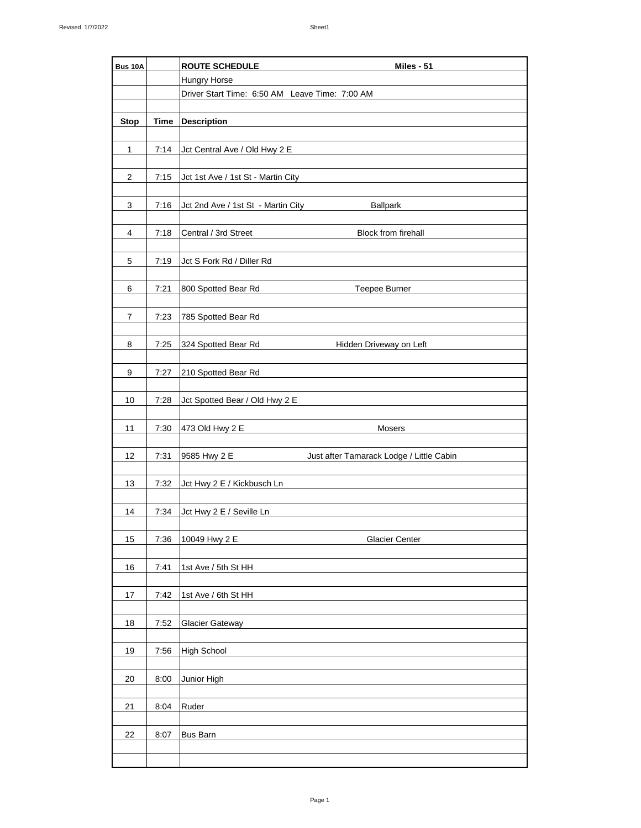| <b>Bus 10A</b> |             | <b>ROUTE SCHEDULE</b><br>Miles - 51                      |
|----------------|-------------|----------------------------------------------------------|
|                |             | <b>Hungry Horse</b>                                      |
|                |             | Driver Start Time: 6:50 AM Leave Time: 7:00 AM           |
|                |             |                                                          |
| <b>Stop</b>    | <b>Time</b> | <b>Description</b>                                       |
|                |             |                                                          |
| $\mathbf 1$    | 7:14        | Jct Central Ave / Old Hwy 2 E                            |
|                |             |                                                          |
| $\overline{2}$ | 7:15        | Jct 1st Ave / 1st St - Martin City                       |
|                |             |                                                          |
|                |             |                                                          |
| 3              | 7:16        | Jct 2nd Ave / 1st St - Martin City<br><b>Ballpark</b>    |
|                |             |                                                          |
| 4              | 7:18        | Block from firehall<br>Central / 3rd Street              |
|                |             |                                                          |
| $\mathbf 5$    | 7:19        | Jct S Fork Rd / Diller Rd                                |
|                |             |                                                          |
| 6              | 7:21        | 800 Spotted Bear Rd<br>Teepee Burner                     |
|                |             |                                                          |
| 7              | 7:23        | 785 Spotted Bear Rd                                      |
|                |             |                                                          |
| 8              | 7:25        | 324 Spotted Bear Rd<br>Hidden Driveway on Left           |
|                |             |                                                          |
| 9              | 7:27        | 210 Spotted Bear Rd                                      |
|                |             |                                                          |
| 10             | 7:28        | Jct Spotted Bear / Old Hwy 2 E                           |
|                |             |                                                          |
| 11             | 7:30        | 473 Old Hwy 2 E<br>Mosers                                |
|                |             |                                                          |
| 12             | 7:31        | 9585 Hwy 2 E<br>Just after Tamarack Lodge / Little Cabin |
|                |             |                                                          |
| 13             | 7:32        | Jct Hwy 2 E / Kickbusch Ln                               |
|                |             |                                                          |
| 14             | 7:34        | Jct Hwy 2 E / Seville Ln                                 |
|                |             |                                                          |
| 15             | 7:36        | 10049 Hwy 2 E<br><b>Glacier Center</b>                   |
|                |             |                                                          |
| 16             | 7:41        | 1st Ave / 5th St HH                                      |
|                |             |                                                          |
| $17\,$         | 7:42        | 1st Ave / 6th St HH                                      |
|                |             |                                                          |
| 18             | 7:52        | <b>Glacier Gateway</b>                                   |
|                |             |                                                          |
| 19             | 7:56        | <b>High School</b>                                       |
|                |             |                                                          |
| 20             | 8:00        | Junior High                                              |
|                |             |                                                          |
| 21             | 8:04        | Ruder                                                    |
|                |             |                                                          |
| 22             | 8:07        | <b>Bus Barn</b>                                          |
|                |             |                                                          |
|                |             |                                                          |